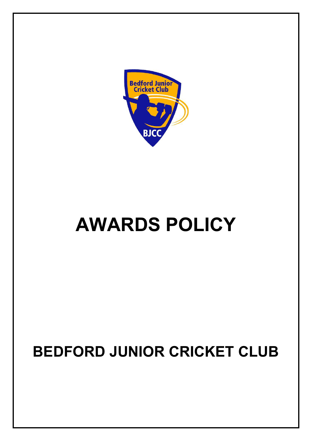

# **AWARDS POLICY**

# **BEDFORD JUNIOR CRICKET CLUB**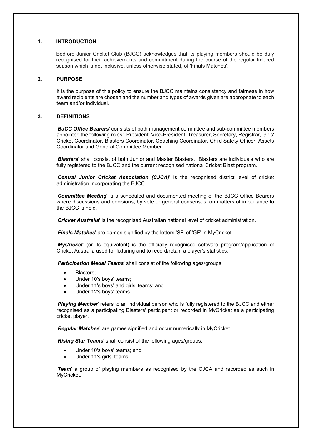# **1. INTRODUCTION**

Bedford Junior Cricket Club (BJCC) acknowledges that its playing members should be duly recognised for their achievements and commitment during the course of the regular fixtured season which is not inclusive, unless otherwise stated, of 'Finals Matches'.

# **2. PURPOSE**

It is the purpose of this policy to ensure the BJCC maintains consistency and fairness in how award recipients are chosen and the number and types of awards given are appropriate to each team and/or individual.

# **3. DEFINITIONS**

'*BJCC Office Bearers*' consists of both management committee and sub-committee members appointed the following roles: President, Vice-President, Treasurer, Secretary, Registrar, Girls' Cricket Coordinator, Blasters Coordinator, Coaching Coordinator, Child Safety Officer, Assets Coordinator and General Committee Member.

'*Blasters*' shall consist of both Junior and Master Blasters. Blasters are individuals who are fully registered to the BJCC and the current recognised national Cricket Blast program.

'*Central Junior Cricket Association (CJCA)*' is the recognised district level of cricket administration incorporating the BJCC.

'*Committee Meeting*' is a scheduled and documented meeting of the BJCC Office Bearers where discussions and decisions, by vote or general consensus, on matters of importance to the BJCC is held.

'*Cricket Australia*' is the recognised Australian national level of cricket administration.

'*Finals Matches*' are games signified by the letters 'SF' of 'GF' in MyCricket.

'*MyCricket*' (or its equivalent) is the officially recognised software program/application of Cricket Australia used for fixturing and to record/retain a player's statistics.

'*Participation Medal Teams*' shall consist of the following ages/groups:

- Blasters:
- Under 10's boys' teams:
- Under 11's boys' and girls' teams; and
- Under 12's boys' teams.

'*Playing Member*' refers to an individual person who is fully registered to the BJCC and either recognised as a participating Blasters' participant or recorded in MyCricket as a participating cricket player.

'*Regular Matches*' are games signified and occur numerically in MyCricket.

'*Rising Star Teams*' shall consist of the following ages/groups:

- Under 10's boys' teams; and
- Under 11's girls' teams.

'*Team*' a group of playing members as recognised by the CJCA and recorded as such in MyCricket.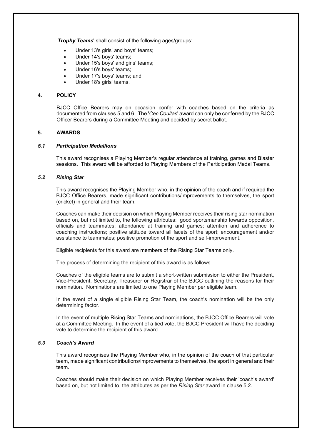'*Trophy Teams*' shall consist of the following ages/groups:

- Under 13's girls' and boys' teams;
- Under 14's boys' teams;
- Under 15's boys' and girls' teams:
- Under 16's boys' teams;
- Under 17's boys' teams; and
- Under 18's girls' teams.

# **4. POLICY**

BJCC Office Bearers may on occasion confer with coaches based on the criteria as documented from clauses 5 and 6. The '*Cec Coultas*' award can only be conferred by the BJCC Officer Bearers during a Committee Meeting and decided by secret ballot.

# **5. AWARDS**

# *5.1 Participation Medallions*

This award recognises a Playing Member's regular attendance at training, games and Blaster sessions. This award will be afforded to Playing Members of the Participation Medal Teams.

# *5.2 Rising Star*

This award recognises the Playing Member who, in the opinion of the coach and if required the BJCC Office Bearers, made significant contributions/improvements to themselves, the sport (cricket) in general and their team.

Coaches can make their decision on which Playing Member receives their rising star nomination based on, but not limited to, the following attributes: good sportsmanship towards opposition, officials and teammates; attendance at training and games; attention and adherence to coaching instructions; positive attitude toward all facets of the sport; encouragement and/or assistance to teammates; positive promotion of the sport and self-improvement.

Eligible recipients for this award are members of the Rising Star Teams only.

The process of determining the recipient of this award is as follows.

Coaches of the eligible teams are to submit a short-written submission to either the President, Vice-President, Secretary, Treasurer or Registrar of the BJCC outlining the reasons for their nomination. Nominations are limited to one Playing Member per eligible team.

In the event of a single eligible Rising Star Team, the coach's nomination will be the only determining factor.

In the event of multiple Rising Star Teams and nominations, the BJCC Office Bearers will vote at a Committee Meeting. In the event of a tied vote, the BJCC President will have the deciding vote to determine the recipient of this award.

# *5.3 Coach's Award*

This award recognises the Playing Member who, in the opinion of the coach of that particular team, made significant contributions/improvements to themselves, the sport in general and their team.

Coaches should make their decision on which Playing Member receives their 'coach's award' based on, but not limited to, the attributes as per the *Rising Star* award in clause 5.2.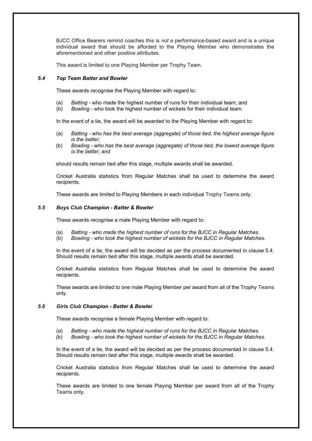BJCC Office Bearers remind coaches this is *not* a performance-based award and is a unique individual award that should be afforded to the Playing Member who demonstrates the aforementioned and other positive attributes.

This award is limited to one Playing Member per Trophy Team.

# *5.4 Top Team Batter and Bowler*

These awards recognise the Playing Member with regard to:

- (a) *Batting* who made the highest number of runs for their individual team; and
- (b) *Bowling* who took the highest number of wickets for their individual team.

In the event of a tie, the award will be awarded to the Playing Member with regard to:

- (a) *Batting - who has the best average (aggregate) of those tied, the highest average figure is the better;*
- (b) *Bowling - who has the best average (aggregate) of those tied, the lowest average figure is the better; and*

should results remain tied after this stage, multiple awards shall be awarded.

Cricket Australia statistics from Regular Matches shall be used to determine the award recipients.

These awards are limited to Playing Members in each individual Trophy Teams only.

# *5.5 Boys Club Champion - Batter & Bowler*

These awards recognise a male Playing Member with regard to:

- (a) *Batting - who made the highest number of runs for the BJCC in Regular Matches.*
- (b) *Bowling - who took the highest number of wickets for the BJCC in Regular Matches.*

In the event of a tie, the award will be decided as per the process documented in clause 5.4. Should results remain tied after this stage, multiple awards shall be awarded.

Cricket Australia statistics from Regular Matches shall be used to determine the award recipients.

These awards are limited to one male Playing Member per award from all of the Trophy Teams only.

# *5.6 Girls Club Champion - Batter & Bowler*

These awards recognise a female Playing Member with regard to:

- (a) *Batting - who made the highest number of runs for the BJCC in Regular Matches.*
- (b) *Bowling - who took the highest number of wickets for the BJCC in Regular Matches.*

In the event of a tie, the award will be decided as per the process documented in clause 5.4. Should results remain tied after this stage, multiple awards shall be awarded.

Cricket Australia statistics from Regular Matches shall be used to determine the award recipients.

These awards are limited to one female Playing Member per award from all of the Trophy Teams only.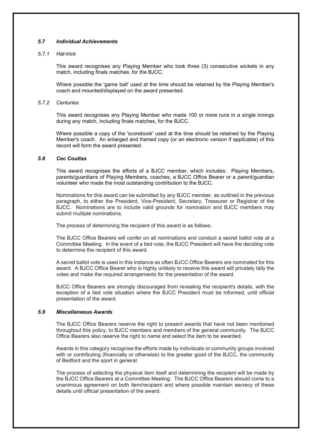# *5.7 Individual Achievements*

# *5.7.1 Hat-trick*

This award recognises any Playing Member who took three (3) consecutive wickets in any match, including finals matches, for the BJCC.

Where possible the 'game ball' used at the time should be retained by the Playing Member's coach and mounted/displayed on the award presented.

#### *5.7.2 Centuries*

This award recognises any Playing Member who made 100 or more runs in a single innings during any match, including finals matches, for the BJCC.

Where possible a copy of the 'scorebook' used at the time should be retained by the Playing Member's coach. An enlarged and framed copy (or an electronic version if applicable) of this record will form the award presented.

#### *5.8 Cec Coultas*

This award recognises the efforts of a BJCC member, which includes: Playing Members, parents/guardians of Playing Members, coaches, a BJCC Office Bearer or a parent/guardian volunteer who made the most outstanding contribution to the BJCC.

Nominations for this award can be submitted by any BJCC member, as outlined in the previous paragraph, to either the President, Vice-President, Secretary, Treasurer or Registrar of the BJCC. Nominations are to include valid grounds for nomination and BJCC members may submit multiple nominations.

The process of determining the recipient of this award is as follows.

The BJCC Office Bearers will confer on all nominations and conduct a secret ballot vote at a Committee Meeting. In the event of a tied vote, the BJCC President will have the deciding vote to determine the recipient of this award.

A secret ballot vote is used in this instance as often BJCC Office Bearers are nominated for this award. A BJCC Office Bearer who is highly unlikely to receive this award will privately tally the votes and make the required arrangements for the presentation of the award.

BJCC Office Bearers are strongly discouraged from revealing the recipient's details, with the exception of a tied vote situation where the BJCC President must be informed, until official presentation of the award.

# *5.9 Miscellaneous Awards*

The BJCC Office Bearers reserve the right to present awards that have not been mentioned throughout this policy, to BJCC members and members of the general community. The BJCC Office Bearers also reserve the right to name and select the item to be awarded.

Awards in this category recognise the efforts made by individuals or community groups involved with or contributing (financially or otherwise) to the greater good of the BJCC, the community of Bedford and the sport in general.

The process of selecting the physical item itself and determining the recipient will be made by the BJCC Office Bearers at a Committee Meeting. The BJCC Office Bearers should come to a unanimous agreement on both item/recipient and where possible maintain secrecy of these details until official presentation of the award.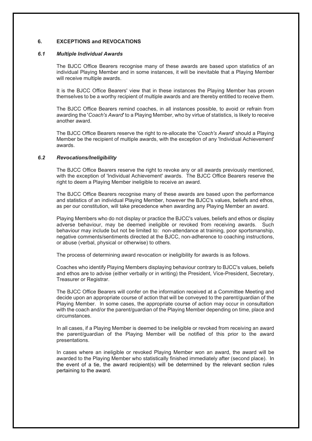# **6. EXCEPTIONS and REVOCATIONS**

#### *6.1 Multiple Individual Awards*

The BJCC Office Bearers recognise many of these awards are based upon statistics of an individual Playing Member and in some instances, it will be inevitable that a Playing Member will receive multiple awards.

It is the BJCC Office Bearers' view that in these instances the Playing Member has proven themselves to be a worthy recipient of multiple awards and are thereby entitled to receive them.

The BJCC Office Bearers remind coaches, in all instances possible, to avoid or refrain from awarding the '*Coach's Award*' to a Playing Member, who by virtue of statistics, is likely to receive another award.

The BJCC Office Bearers reserve the right to re-allocate the '*Coach's Award*' should a Playing Member be the recipient of multiple awards, with the exception of any 'Individual Achievement' awards.

# *6.2 Revocations/Ineligibility*

The BJCC Office Bearers reserve the right to revoke any or all awards previously mentioned, with the exception of 'Individual Achievement' awards. The BJCC Office Bearers reserve the right to deem a Playing Member ineligible to receive an award.

The BJCC Office Bearers recognise many of these awards are based upon the performance and statistics of an individual Playing Member, however the BJCC's values, beliefs and ethos, as per our constitution, will take precedence when awarding any Playing Member an award.

Playing Members who do not display or practice the BJCC's values, beliefs and ethos or display adverse behaviour, may be deemed ineligible or revoked from receiving awards. Such behaviour may include but not be limited to: non-attendance at training, poor sportsmanship, negative comments/sentiments directed at the BJCC, non-adherence to coaching instructions, or abuse (verbal, physical or otherwise) to others.

The process of determining award revocation or ineligibility for awards is as follows.

Coaches who identify Playing Members displaying behaviour contrary to BJCC's values, beliefs and ethos are to advise (either verbally or in writing) the President, Vice-President, Secretary, Treasurer or Registrar.

The BJCC Office Bearers will confer on the information received at a Committee Meeting and decide upon an appropriate course of action that will be conveyed to the parent/guardian of the Playing Member. In some cases, the appropriate course of action may occur in consultation with the coach and/or the parent/guardian of the Playing Member depending on time, place and circumstances.

In all cases, if a Playing Member is deemed to be ineligible or revoked from receiving an award the parent/guardian of the Playing Member will be notified of this prior to the award presentations.

In cases where an ineligible or revoked Playing Member won an award, the award will be awarded to the Playing Member who statistically finished immediately after (second place). In the event of a tie, the award recipient(s) will be determined by the relevant section rules pertaining to the award.